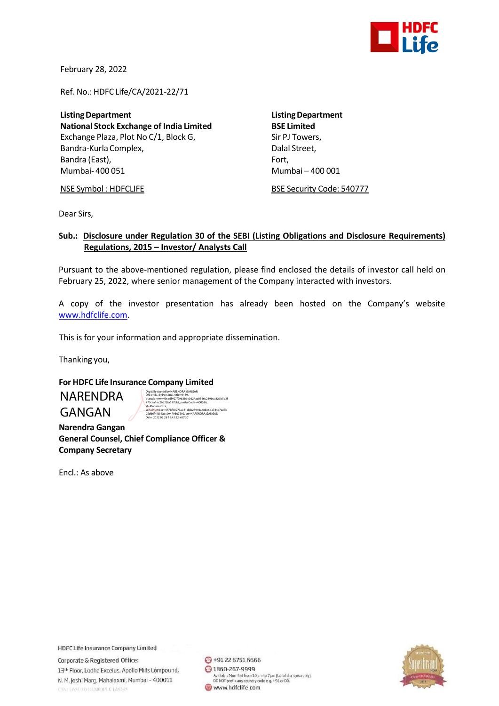

February 28, 2022

Ref. No.: HDFC Life/CA/2021-22/71

**Listing Department**<br> **National Stock Exchange of India Limited**<br> **Listing Department National Stock Exchange of India Limited** Exchange Plaza, Plot No C/1, Block G, Sir PJ Towers, Bandra-Kurla Complex, and the complexed of the Dalal Street, Bandra (East), Fort, Fort, Fort, Fort, Fort, Fort, Fort, Fort, Fort, Fort, Fort, Fort, Fort, Fort, Fort, Fort, Mumbai- 400 051 Mumbai – 400 001

NSE Symbol : HDFCLIFE BSE Security Code: 540777

Dear Sirs,

## **Sub.: Disclosure under Regulation 30 of the SEBI (Listing Obligations and Disclosure Requirements) Regulations, 2015 – Investor/ Analysts Call**

Pursuant to the above-mentioned regulation, please find enclosed the details of investor call held on February 25, 2022, where senior management of the Company interacted with investors.

A copy of the investor presentation has already been hosted on the Company's website [www.hdfclife.com.](http://www.hdfclife.com/)

This is for your information and appropriate dissemination.

Thanking you,

## **For HDFC Life Insurance Company Limited**

NARENDRA GANGAN

Digitally signed by NARENDRA GANGAN<br>DN: c=IN, o=Personal, title=9139,<br>pseudonym=49cedf407f9963bee3624ac0546c289bca826b5d2t<br>773caa1ec26522fa517bbf, postalCode=400016,<br>st=Maharashtra, serialNumber=477bf60273ae81dbb28910a48bc6ba744a7ae3b 05d66f4fd94a6c99479307592, cn=NARENDRA GANGAN Date: 2022.02.28 19:43:22 +05'30'

 **Narendra Gangan General Counsel, Chief Compliance Officer & Company Secretary**

Encl.: As above

**HDFC Life Insurance Company Limited** 

Corporate & Registered Office: 13th Floor, Lodha Excelus, Apollo Mills Compound, N. M. Joshi Marg, Mahalaxmi, Mumbai - 400011 CINELISM HIMIL2000PLCT28245

→91 22 6751 6666 ◎ 1860-267-9999 Available Mon-Sat from 10 am to 7 pm (Local charges apply)<br>DO NOT prefix any country code e.g. +91 or 00. www.hdfclife.com